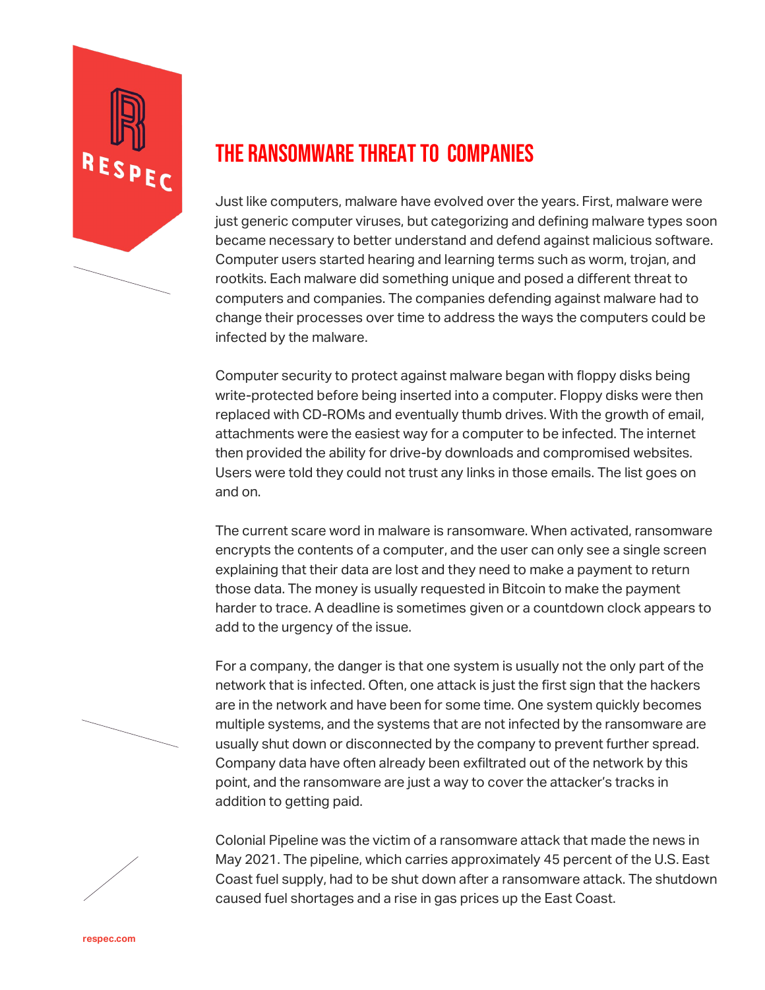

## THE RANSOMWARE THREAT TO COMPANIES

Just like computers, malware have evolved over the years. First, malware were just generic computer viruses, but categorizing and defining malware types soon became necessary to better understand and defend against malicious software. Computer users started hearing and learning terms such as worm, trojan, and rootkits. Each malware did something unique and posed a different threat to computers and companies. The companies defending against malware had to change their processes over time to address the ways the computers could be infected by the malware.

Computer security to protect against malware began with floppy disks being write-protected before being inserted into a computer. Floppy disks were then replaced with CD-ROMs and eventually thumb drives. With the growth of email, attachments were the easiest way for a computer to be infected. The internet then provided the ability for drive-by downloads and compromised websites. Users were told they could not trust any links in those emails. The list goes on and on.

The current scare word in malware is ransomware. When activated, ransomware encrypts the contents of a computer, and the user can only see a single screen explaining that their data are lost and they need to make a payment to return those data. The money is usually requested in Bitcoin to make the payment harder to trace. A deadline is sometimes given or a countdown clock appears to add to the urgency of the issue.

For a company, the danger is that one system is usually not the only part of the network that is infected. Often, one attack is just the first sign that the hackers are in the network and have been for some time. One system quickly becomes multiple systems, and the systems that are not infected by the ransomware are usually shut down or disconnected by the company to prevent further spread. Company data have often already been exfiltrated out of the network by this point, and the ransomware are just a way to cover the attacker's tracks in addition to getting paid.

Colonial Pipeline was the victim of a ransomware attack that made the news in May 2021. The pipeline, which carries approximately 45 percent of the U.S. East Coast fuel supply, had to be shut down after a ransomware attack. The shutdown caused fuel shortages and a rise in gas prices up the East Coast.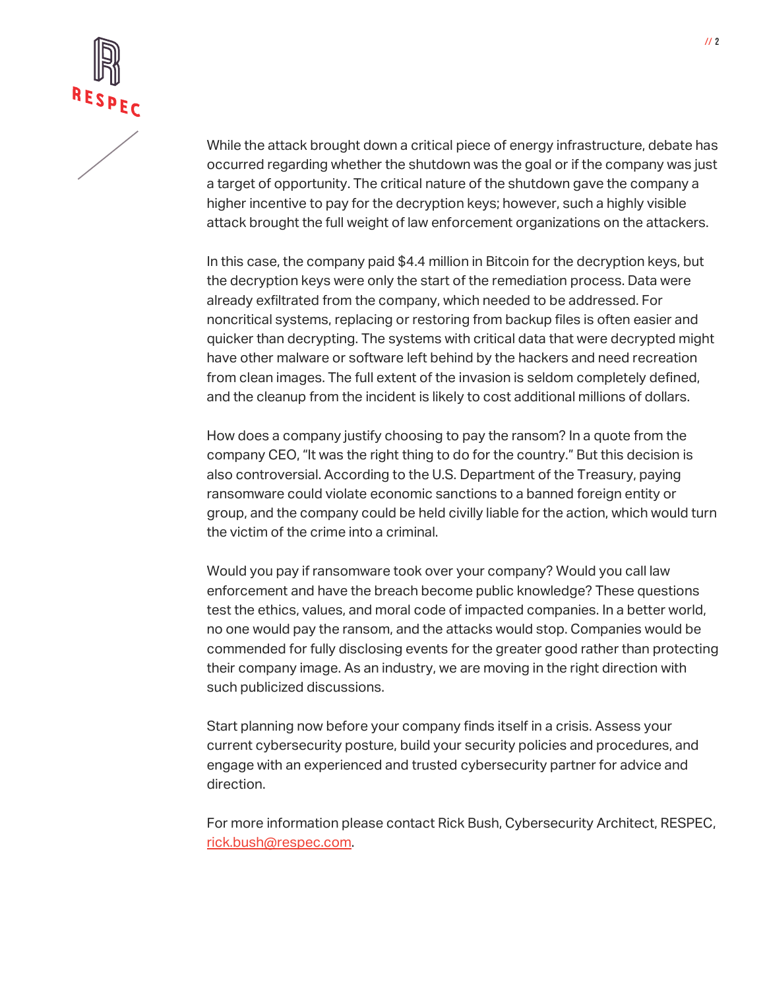

While the attack brought down a critical piece of energy infrastructure, debate has occurred regarding whether the shutdown was the goal or if the company was just a target of opportunity. The critical nature of the shutdown gave the company a higher incentive to pay for the decryption keys; however, such a highly visible attack brought the full weight of law enforcement organizations on the attackers.

In this case, the company paid \$4.4 million in Bitcoin for the decryption keys, but the decryption keys were only the start of the remediation process. Data were already exfiltrated from the company, which needed to be addressed. For noncritical systems, replacing or restoring from backup files is often easier and quicker than decrypting. The systems with critical data that were decrypted might have other malware or software left behind by the hackers and need recreation from clean images. The full extent of the invasion is seldom completely defined, and the cleanup from the incident is likely to cost additional millions of dollars.

How does a company justify choosing to pay the ransom? In a quote from the company CEO, "It was the right thing to do for the country." But this decision is also controversial. According to the U.S. Department of the Treasury, paying ransomware could violate economic sanctions to a banned foreign entity or group, and the company could be held civilly liable for the action, which would turn the victim of the crime into a criminal.

Would you pay if ransomware took over your company? Would you call law enforcement and have the breach become public knowledge? These questions test the ethics, values, and moral code of impacted companies. In a better world, no one would pay the ransom, and the attacks would stop. Companies would be commended for fully disclosing events for the greater good rather than protecting their company image. As an industry, we are moving in the right direction with such publicized discussions.

Start planning now before your company finds itself in a crisis. Assess your current cybersecurity posture, build your security policies and procedures, and engage with an experienced and trusted cybersecurity partner for advice and direction.

For more information please contact Rick Bush, Cybersecurity Architect, RESPEC, [rick.bush@respec.com.](mailto:rick.bush@respec.com)